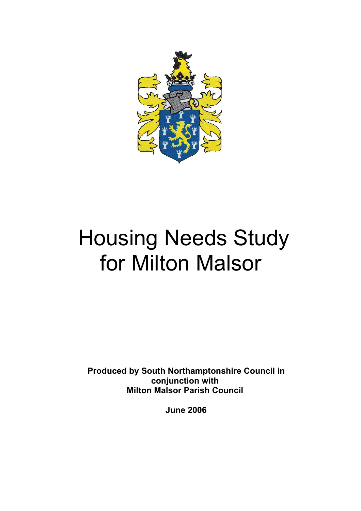

# Housing Needs Study for Milton Malsor

**Produced by South Northamptonshire Council in conjunction with Milton Malsor Parish Council** 

**June 2006**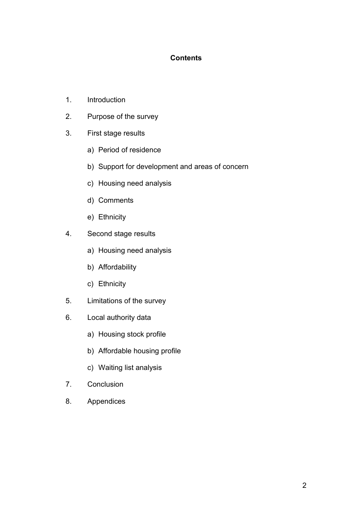### **Contents**

- 1. Introduction
- 2. Purpose of the survey
- 3. First stage results
	- a) Period of residence
	- b) Support for development and areas of concern
	- c) Housing need analysis
	- d) Comments
	- e) Ethnicity
- 4. Second stage results
	- a) Housing need analysis
	- b) Affordability
	- c) Ethnicity
- 5. Limitations of the survey
- 6. Local authority data
	- a) Housing stock profile
	- b) Affordable housing profile
	- c) Waiting list analysis
- 7. Conclusion
- 8. Appendices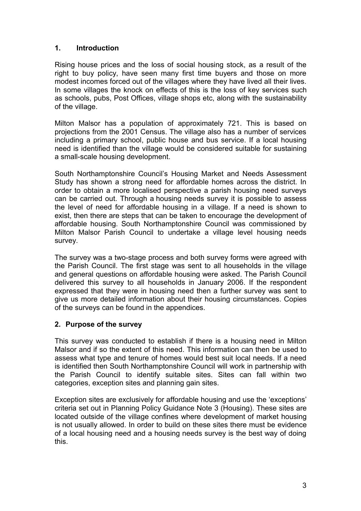## **1. Introduction**

Rising house prices and the loss of social housing stock, as a result of the right to buy policy, have seen many first time buyers and those on more modest incomes forced out of the villages where they have lived all their lives. In some villages the knock on effects of this is the loss of key services such as schools, pubs, Post Offices, village shops etc, along with the sustainability of the village.

Milton Malsor has a population of approximately 721. This is based on projections from the 2001 Census. The village also has a number of services including a primary school, public house and bus service. If a local housing need is identified than the village would be considered suitable for sustaining a small-scale housing development.

South Northamptonshire Council's Housing Market and Needs Assessment Study has shown a strong need for affordable homes across the district. In order to obtain a more localised perspective a parish housing need surveys can be carried out. Through a housing needs survey it is possible to assess the level of need for affordable housing in a village. If a need is shown to exist, then there are steps that can be taken to encourage the development of affordable housing. South Northamptonshire Council was commissioned by Milton Malsor Parish Council to undertake a village level housing needs survey.

The survey was a two-stage process and both survey forms were agreed with the Parish Council. The first stage was sent to all households in the village and general questions on affordable housing were asked. The Parish Council delivered this survey to all households in January 2006. If the respondent expressed that they were in housing need then a further survey was sent to give us more detailed information about their housing circumstances. Copies of the surveys can be found in the appendices.

#### **2. Purpose of the survey**

This survey was conducted to establish if there is a housing need in Milton Malsor and if so the extent of this need. This information can then be used to assess what type and tenure of homes would best suit local needs. If a need is identified then South Northamptonshire Council will work in partnership with the Parish Council to identify suitable sites. Sites can fall within two categories, exception sites and planning gain sites.

Exception sites are exclusively for affordable housing and use the 'exceptions' criteria set out in Planning Policy Guidance Note 3 (Housing). These sites are located outside of the village confines where development of market housing is not usually allowed. In order to build on these sites there must be evidence of a local housing need and a housing needs survey is the best way of doing this.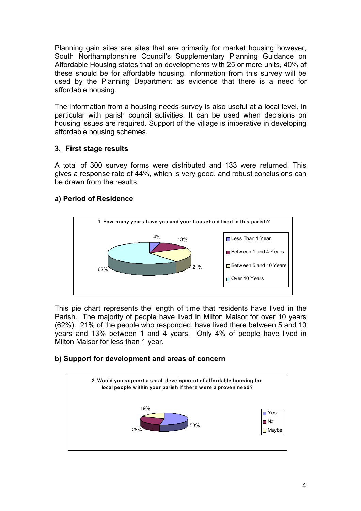Planning gain sites are sites that are primarily for market housing however, South Northamptonshire Council's Supplementary Planning Guidance on Affordable Housing states that on developments with 25 or more units, 40% of these should be for affordable housing. Information from this survey will be used by the Planning Department as evidence that there is a need for affordable housing.

The information from a housing needs survey is also useful at a local level, in particular with parish council activities. It can be used when decisions on housing issues are required. Support of the village is imperative in developing affordable housing schemes.

#### **3. First stage results**

A total of 300 survey forms were distributed and 133 were returned. This gives a response rate of 44%, which is very good, and robust conclusions can be drawn from the results.

# **a) Period of Residence**



This pie chart represents the length of time that residents have lived in the Parish. The majority of people have lived in Milton Malsor for over 10 years (62%). 21% of the people who responded, have lived there between 5 and 10 years and 13% between 1 and 4 years. Only 4% of people have lived in Milton Malsor for less than 1 year.

# **b) Support for development and areas of concern**

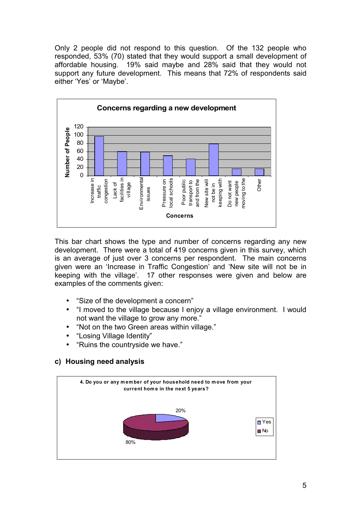Only 2 people did not respond to this question. Of the 132 people who responded, 53% (70) stated that they would support a small development of affordable housing. 19% said maybe and 28% said that they would not support any future development. This means that 72% of respondents said either 'Yes' or 'Maybe'.



This bar chart shows the type and number of concerns regarding any new development. There were a total of 419 concerns given in this survey, which is an average of just over 3 concerns per respondent. The main concerns given were an 'Increase in Traffic Congestion' and 'New site will not be in keeping with the village'. 17 other responses were given and below are examples of the comments given:

- "Size of the development a concern"
- "I moved to the village because I enjoy a village environment. I would not want the village to grow any more."
- "Not on the two Green areas within village."
- "Losing Village Identity"
- "Ruins the countryside we have."

#### **c) Housing need analysis**

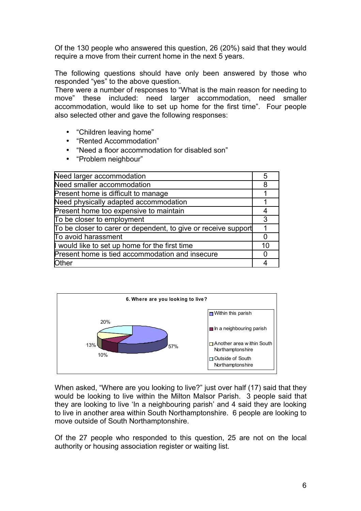Of the 130 people who answered this question, 26 (20%) said that they would require a move from their current home in the next 5 years.

The following questions should have only been answered by those who responded "yes" to the above question.

There were a number of responses to "What is the main reason for needing to move" these included: need larger accommodation, need smaller accommodation, would like to set up home for the first time". Four people also selected other and gave the following responses:

- "Children leaving home"
- "Rented Accommodation"
- "Need a floor accommodation for disabled son"
- "Problem neighbour"

| Need larger accommodation                                      | 5  |
|----------------------------------------------------------------|----|
| Need smaller accommodation                                     | 8  |
| Present home is difficult to manage                            |    |
| Need physically adapted accommodation                          |    |
| Present home too expensive to maintain                         |    |
| To be closer to employment                                     |    |
| To be closer to carer or dependent, to give or receive support |    |
| To avoid harassment                                            |    |
| would like to set up home for the first time                   | 10 |
| Present home is tied accommodation and insecure                |    |
| <b>Other</b>                                                   |    |



When asked, "Where are you looking to live?" just over half (17) said that they would be looking to live within the Milton Malsor Parish. 3 people said that they are looking to live 'In a neighbouring parish' and 4 said they are looking to live in another area within South Northamptonshire. 6 people are looking to move outside of South Northamptonshire.

Of the 27 people who responded to this question, 25 are not on the local authority or housing association register or waiting list.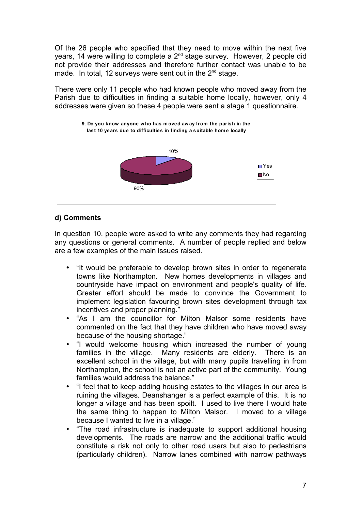Of the 26 people who specified that they need to move within the next five years, 14 were willing to complete a 2<sup>nd</sup> stage survey. However, 2 people did not provide their addresses and therefore further contact was unable to be made. In total, 12 surveys were sent out in the  $2^{nd}$  stage.

There were only 11 people who had known people who moved away from the Parish due to difficulties in finding a suitable home locally, however, only 4 addresses were given so these 4 people were sent a stage 1 questionnaire.



#### **d) Comments**

In question 10, people were asked to write any comments they had regarding any questions or general comments. A number of people replied and below are a few examples of the main issues raised.

- "It would be preferable to develop brown sites in order to regenerate towns like Northampton. New homes developments in villages and countryside have impact on environment and people's quality of life. Greater effort should be made to convince the Government to implement legislation favouring brown sites development through tax incentives and proper planning."
- "As I am the councillor for Milton Malsor some residents have commented on the fact that they have children who have moved away because of the housing shortage."
- "I would welcome housing which increased the number of young families in the village. Many residents are elderly. There is an excellent school in the village, but with many pupils travelling in from Northampton, the school is not an active part of the community. Young families would address the balance."
- "I feel that to keep adding housing estates to the villages in our area is ruining the villages. Deanshanger is a perfect example of this. It is no longer a village and has been spoilt. I used to live there I would hate the same thing to happen to Milton Malsor. I moved to a village because I wanted to live in a village."
- "The road infrastructure is inadequate to support additional housing developments. The roads are narrow and the additional traffic would constitute a risk not only to other road users but also to pedestrians (particularly children). Narrow lanes combined with narrow pathways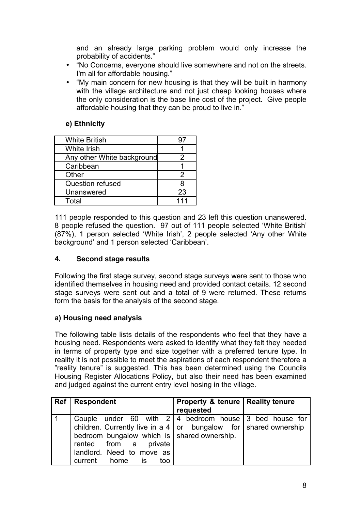and an already large parking problem would only increase the probability of accidents."

- "No Concerns, everyone should live somewhere and not on the streets. I'm all for affordable housing."
- "My main concern for new housing is that they will be built in harmony with the village architecture and not just cheap looking houses where the only consideration is the base line cost of the project. Give people affordable housing that they can be proud to live in."

#### **e) Ethnicity**

| <b>White British</b>       |     |
|----------------------------|-----|
| <b>White Irish</b>         |     |
| Any other White background |     |
| Caribbean                  |     |
| Other                      | 2   |
| <b>Question refused</b>    |     |
| Unanswered                 | 23  |
| Total                      | 111 |

111 people responded to this question and 23 left this question unanswered. 8 people refused the question. 97 out of 111 people selected 'White British' (87%), 1 person selected 'White Irish', 2 people selected 'Any other White background' and 1 person selected 'Caribbean'.

#### **4. Second stage results**

Following the first stage survey, second stage surveys were sent to those who identified themselves in housing need and provided contact details. 12 second stage surveys were sent out and a total of 9 were returned. These returns form the basis for the analysis of the second stage.

#### **a) Housing need analysis**

The following table lists details of the respondents who feel that they have a housing need. Respondents were asked to identify what they felt they needed in terms of property type and size together with a preferred tenure type. In reality it is not possible to meet the aspirations of each respondent therefore a "reality tenure" is suggested. This has been determined using the Councils Housing Register Allocations Policy, but also their need has been examined and judged against the current entry level hosing in the village.

| Ref | <b>Respondent</b>                                                                                                                                                                                                                                                                            | Property & tenure   Reality tenure<br>requested |  |
|-----|----------------------------------------------------------------------------------------------------------------------------------------------------------------------------------------------------------------------------------------------------------------------------------------------|-------------------------------------------------|--|
|     | Couple under 60 with $2 \mid 4$ bedroom house 3 bed house for<br>children. Currently live in a $4 \mid or$ bungalow for $\mid$ shared ownership<br>bedroom bungalow which is $\vert$ shared ownership.<br>rented from a private<br>landlord. Need to move as<br>is is<br>current home<br>too |                                                 |  |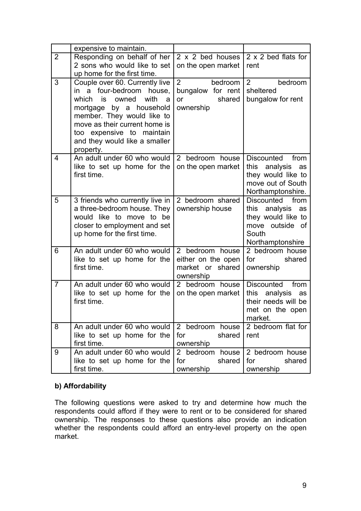|                | expensive to maintain.                                                                                                                                                                                                                                                     |                                                                             |                                                                                                                        |
|----------------|----------------------------------------------------------------------------------------------------------------------------------------------------------------------------------------------------------------------------------------------------------------------------|-----------------------------------------------------------------------------|------------------------------------------------------------------------------------------------------------------------|
| $\overline{2}$ | Responding on behalf of her<br>2 sons who would like to set<br>up home for the first time.                                                                                                                                                                                 | 2 x 2 bed houses<br>on the open market                                      | 2 x 2 bed flats for<br>rent                                                                                            |
| 3              | Couple over 60. Currently live<br>a<br>four-bedroom<br>house,<br>in<br>with<br>which is<br>owned<br>a<br>mortgage by a household<br>member. They would like to<br>move as their current home is<br>too expensive to maintain<br>and they would like a smaller<br>property. | $\overline{2}$<br>bedroom<br>bungalow for rent<br>shared<br>or<br>ownership | 2<br>bedroom<br>sheltered<br>bungalow for rent                                                                         |
| 4              | An adult under 60 who would<br>like to set up home for the<br>first time.                                                                                                                                                                                                  | 2 bedroom house<br>on the open market                                       | Discounted<br>from<br>this<br>analysis<br>as<br>they would like to<br>move out of South<br>Northamptonshire.           |
| 5              | 3 friends who currently live in<br>a three-bedroom house. They<br>would like to move to be<br>closer to employment and set<br>up home for the first time.                                                                                                                  | 2 bedroom shared<br>ownership house                                         | <b>Discounted</b><br>from<br>this analysis<br>as<br>they would like to<br>move outside of<br>South<br>Northamptonshire |
| 6              | An adult under 60 who would<br>like to set up home for the<br>first time.                                                                                                                                                                                                  | 2 bedroom house<br>either on the open<br>market or shared<br>ownership      | 2 bedroom house<br>for<br>shared<br>ownership                                                                          |
| $\overline{7}$ | An adult under 60 who would<br>like to set up home for the<br>first time.                                                                                                                                                                                                  | 2 bedroom house<br>on the open market                                       | <b>Discounted</b><br>from<br>this<br>analysis<br>as<br>their needs will be<br>met on the open<br>market.               |
| 8              | An adult under 60 who would<br>like to set up home for the<br>first time.                                                                                                                                                                                                  | 2 bedroom house<br>for<br>shared<br>ownership                               | 2 bedroom flat for<br>rent                                                                                             |
| 9              | An adult under 60 who would<br>like to set up home for the<br>first time.                                                                                                                                                                                                  | 2 bedroom house<br>shared<br>for<br>ownership                               | 2 bedroom house<br>for<br>shared<br>ownership                                                                          |

## **b) Affordability**

The following questions were asked to try and determine how much the respondents could afford if they were to rent or to be considered for shared ownership. The responses to these questions also provide an indication whether the respondents could afford an entry-level property on the open market.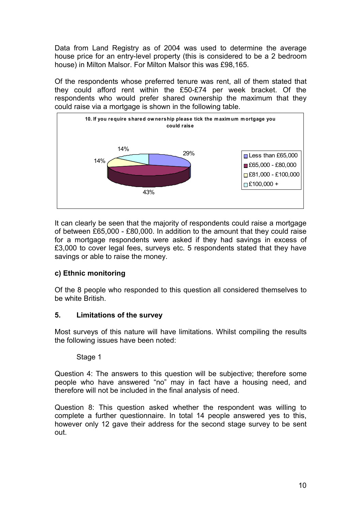Data from Land Registry as of 2004 was used to determine the average house price for an entry-level property (this is considered to be a 2 bedroom house) in Milton Malsor. For Milton Malsor this was £98,165.

Of the respondents whose preferred tenure was rent, all of them stated that they could afford rent within the £50-£74 per week bracket. Of the respondents who would prefer shared ownership the maximum that they could raise via a mortgage is shown in the following table.



It can clearly be seen that the majority of respondents could raise a mortgage of between £65,000 - £80,000. In addition to the amount that they could raise for a mortgage respondents were asked if they had savings in excess of £3,000 to cover legal fees, surveys etc. 5 respondents stated that they have savings or able to raise the money.

#### **c) Ethnic monitoring**

Of the 8 people who responded to this question all considered themselves to be white British.

#### **5. Limitations of the survey**

Most surveys of this nature will have limitations. Whilst compiling the results the following issues have been noted:

#### Stage 1

Question 4: The answers to this question will be subjective; therefore some people who have answered "no" may in fact have a housing need, and therefore will not be included in the final analysis of need.

Question 8: This question asked whether the respondent was willing to complete a further questionnaire. In total 14 people answered yes to this, however only 12 gave their address for the second stage survey to be sent out.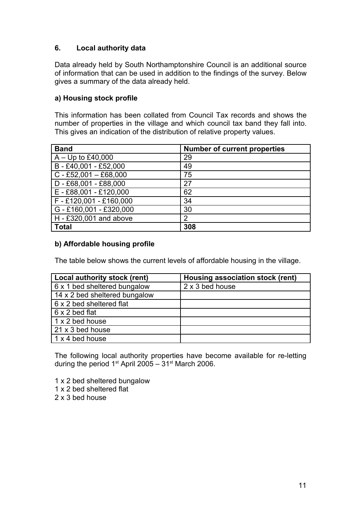## **6. Local authority data**

Data already held by South Northamptonshire Council is an additional source of information that can be used in addition to the findings of the survey. Below gives a summary of the data already held.

#### **a) Housing stock profile**

This information has been collated from Council Tax records and shows the number of properties in the village and which council tax band they fall into. This gives an indication of the distribution of relative property values.

| <b>Band</b>               | <b>Number of current properties</b> |
|---------------------------|-------------------------------------|
| $A - Up to £40,000$       | 29                                  |
| B-£40,001-£52,000         | 49                                  |
| $C - E52,001 - E68,000$   | 75                                  |
| $D - £68,001 - £88,000$   | 27                                  |
| $E - £88,001 - £120,000$  | 62                                  |
| F-£120,001-£160,000       | 34                                  |
| $G - £160,001 - £320,000$ | 30                                  |
| $H - £320,001$ and above  | 2                                   |
| <b>Total</b>              | 308                                 |

#### **b) Affordable housing profile**

The table below shows the current levels of affordable housing in the village.

| Local authority stock (rent)  | Housing association stock (rent) |
|-------------------------------|----------------------------------|
| 6 x 1 bed sheltered bungalow  | 2 x 3 bed house                  |
| 14 x 2 bed sheltered bungalow |                                  |
| 6 x 2 bed sheltered flat      |                                  |
| $\vert$ 6 x 2 bed flat        |                                  |
| 1 x 2 bed house               |                                  |
| $21 \times 3$ bed house       |                                  |
| 1 x 4 bed house               |                                  |

The following local authority properties have become available for re-letting during the period 1<sup>st</sup> April 2005 –  $31<sup>st</sup>$  March 2006.

1 x 2 bed sheltered bungalow

- 1 x 2 bed sheltered flat
- 2 x 3 bed house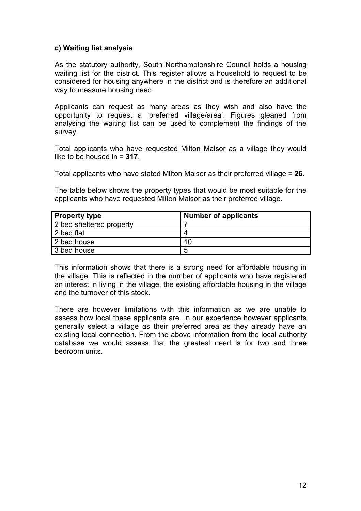#### **c) Waiting list analysis**

As the statutory authority, South Northamptonshire Council holds a housing waiting list for the district. This register allows a household to request to be considered for housing anywhere in the district and is therefore an additional way to measure housing need.

Applicants can request as many areas as they wish and also have the opportunity to request a 'preferred village/area'. Figures gleaned from analysing the waiting list can be used to complement the findings of the survey.

Total applicants who have requested Milton Malsor as a village they would like to be housed in = **317**.

Total applicants who have stated Milton Malsor as their preferred village = **26**.

The table below shows the property types that would be most suitable for the applicants who have requested Milton Malsor as their preferred village.

| <b>Property type</b>     | <b>Number of applicants</b> |
|--------------------------|-----------------------------|
| 2 bed sheltered property |                             |
| 2 bed flat               | 4                           |
| 2 bed house              | 10                          |
| 3 bed house              | 5                           |

This information shows that there is a strong need for affordable housing in the village. This is reflected in the number of applicants who have registered an interest in living in the village, the existing affordable housing in the village and the turnover of this stock.

There are however limitations with this information as we are unable to assess how local these applicants are. In our experience however applicants generally select a village as their preferred area as they already have an existing local connection. From the above information from the local authority database we would assess that the greatest need is for two and three bedroom units.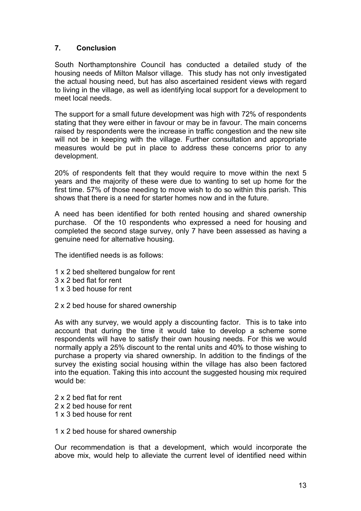## **7. Conclusion**

South Northamptonshire Council has conducted a detailed study of the housing needs of Milton Malsor village. This study has not only investigated the actual housing need, but has also ascertained resident views with regard to living in the village, as well as identifying local support for a development to meet local needs.

The support for a small future development was high with 72% of respondents stating that they were either in favour or may be in favour. The main concerns raised by respondents were the increase in traffic congestion and the new site will not be in keeping with the village. Further consultation and appropriate measures would be put in place to address these concerns prior to any development.

20% of respondents felt that they would require to move within the next 5 years and the majority of these were due to wanting to set up home for the first time. 57% of those needing to move wish to do so within this parish. This shows that there is a need for starter homes now and in the future.

A need has been identified for both rented housing and shared ownership purchase. Of the 10 respondents who expressed a need for housing and completed the second stage survey, only 7 have been assessed as having a genuine need for alternative housing.

The identified needs is as follows:

- 1 x 2 bed sheltered bungalow for rent
- 3 x 2 bed flat for rent
- 1 x 3 bed house for rent
- 2 x 2 bed house for shared ownership

As with any survey, we would apply a discounting factor. This is to take into account that during the time it would take to develop a scheme some respondents will have to satisfy their own housing needs. For this we would normally apply a 25% discount to the rental units and 40% to those wishing to purchase a property via shared ownership. In addition to the findings of the survey the existing social housing within the village has also been factored into the equation. Taking this into account the suggested housing mix required would be:

2 x 2 bed flat for rent 2 x 2 bed house for rent 1 x 3 bed house for rent

1 x 2 bed house for shared ownership

Our recommendation is that a development, which would incorporate the above mix, would help to alleviate the current level of identified need within